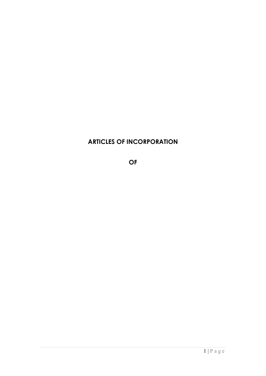# **ARTICLES OF INCORPORATION**

**OF**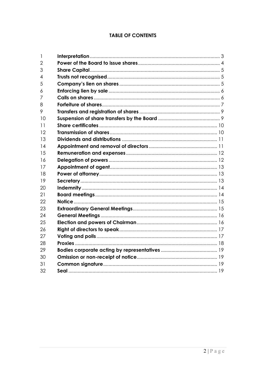# **TABLE OF CONTENTS**

| $\mathbf{1}$   |  |
|----------------|--|
| $\overline{2}$ |  |
| 3              |  |
| 4              |  |
| 5              |  |
| 6              |  |
| 7              |  |
| 8              |  |
| 9              |  |
| 10             |  |
| 11             |  |
| 12             |  |
| 13             |  |
| 14             |  |
| 15             |  |
| 16             |  |
| 17             |  |
| 18             |  |
| 19             |  |
| 20             |  |
| 21             |  |
| 22             |  |
| 23             |  |
| 24             |  |
| 25             |  |
| 26             |  |
| 27             |  |
| 28             |  |
| 29             |  |
| 30             |  |
| 31             |  |
| 32             |  |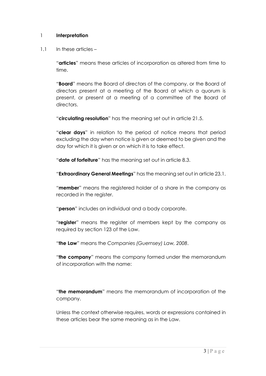### 1 **Interpretation**

#### $1.1$  In these articles –

"**articles**" means these articles of incorporation as altered from time to time.

"**Board**" means the Board of directors of the company, or the Board of directors present at a meeting of the Board at which a quorum is present, or present at a meeting of a committee of the Board of directors.

"**circulating resolution**" has the meaning set out in article 21.5.

"**clear days**" in relation to the period of notice means that period excluding the day when notice is given or deemed to be given and the day for which it is given or on which it is to take effect.

"**date of forfeiture**" has the meaning set out in article 8.3.

"**Extraordinary General Meetings**" has the meaning set out in article 23.1.

"**member**" means the registered holder of a share in the company as recorded in the register.

"**person**" includes an individual and a body corporate.

"**register**" means the register of members kept by the company as required by section 123 of the Law.

"**the Law**" means the *Companies (Guernsey) Law, 2008*.

"**the company**" means the company formed under the memorandum of incorporation with the name:

"**the memorandum**" means the memorandum of incorporation of the company.

Unless the context otherwise requires, words or expressions contained in these articles bear the same meaning as in the Law.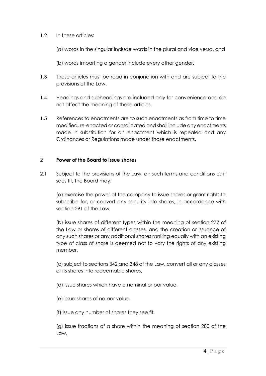### 1.2 In these articles:

(a) words in the singular include words in the plural and vice versa, and

(b) words imparting a gender include every other gender.

- 1.3 These articles must be read in conjunction with and are subject to the provisions of the Law.
- 1.4 Headings and subheadings are included only for convenience and do not affect the meaning of these articles.
- 1.5 References to enactments are to such enactments as from time to time modified, re-enacted or consolidated and shall include any enactments made in substitution for an enactment which is repealed and any Ordinances or Regulations made under those enactments.

#### 2 **Power of the Board to issue shares**

2.1 Subject to the provisions of the Law, on such terms and conditions as it sees fit, the Board may:

(a) exercise the power of the company to issue shares or grant rights to subscribe for, or convert any security into shares, in accordance with section 291 of the Law,

(b) issue shares of different types within the meaning of section 277 of the Law or shares of different classes, and the creation or issuance of any such shares or any additional shares ranking equally with an existing type of class of share is deemed not to vary the rights of any existing member,

(c) subject to sections 342 and 348 of the Law, convert all or any classes of its shares into redeemable shares,

(d) issue shares which have a nominal or par value,

(e) issue shares of no par value,

(f) issue any number of shares they see fit,

(g) issue fractions of a share within the meaning of section 280 of the Law,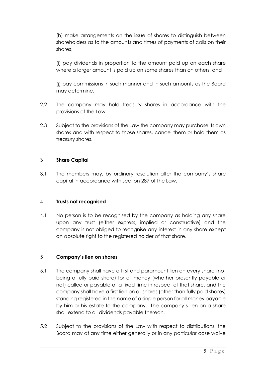(h) make arrangements on the issue of shares to distinguish between shareholders as to the amounts and times of payments of calls on their shares,

(i) pay dividends in proportion to the amount paid up on each share where a larger amount is paid up on some shares than on others, and

(j) pay commissions in such manner and in such amounts as the Board may determine.

- 2.2 The company may hold treasury shares in accordance with the provisions of the Law.
- 2.3 Subject to the provisions of the Law the company may purchase its own shares and with respect to those shares, cancel them or hold them as treasury shares.

### 3 **Share Capital**

3.1 The members may, by ordinary resolution alter the company's share capital in accordance with section 287 of the Law.

# 4 **Trusts not recognised**

4.1 No person is to be recognised by the company as holding any share upon any trust (either express, implied or constructive) and the company is not obliged to recognise any interest in any share except an absolute right to the registered holder of that share.

# 5 **Company's lien on shares**

- 5.1 The company shall have a first and paramount lien on every share (not being a fully paid share) for all money (whether presently payable or not) called or payable at a fixed time in respect of that share, and the company shall have a first lien on all shares (other than fully paid shares) standing registered in the name of a single person for all money payable by him or his estate to the company. The company's lien on a share shall extend to all dividends payable thereon.
- 5.2 Subject to the provisions of the Law with respect to distributions, the Board may at any time either generally or in any particular case waive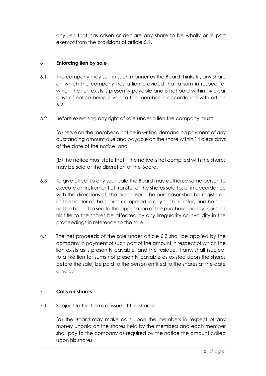any lien that has arisen or declare any share to be wholly or in part exempt from the provisions of article 5.1.

# 6 **Enforcing lien by sale**

- 6.1 The company may sell, in such manner as the Board thinks fit, any share on which the company has a lien provided that a sum in respect of which the lien exists is presently payable and is not paid within 14 clear days of notice being given to the member in accordance with article 6.2.
- 6.2 Before exercising any right of sale under a lien the company must:

(a) serve on the member a notice in writing demanding payment of any outstanding amount due and payable on the share within 14 clear days of the date of the notice, and

(b) the notice must state that if the notice is not complied with the shares may be sold at the discretion of the Board.

- 6.3 To give effect to any such sale the Board may authorise some person to execute an instrument of transfer of the shares sold to, or in accordance with the directions of, the purchaser. The purchaser shall be registered as the holder of the shares comprised in any such transfer, and he shall not be bound to see to the application of the purchase money, nor shall his title to the shares be affected by any irregularity or invalidity in the proceedings in reference to the sale.
- 6.4 The net proceeds of the sale under article 6.3 shall be applied by the company in payment of such part of the amount in respect of which the lien exists as is presently payable, and the residue, if any, shall (subject to a like lien for sums not presently payable as existed upon the shares before the sale) be paid to the person entitled to the shares at the date of sale.

# 7 **Calls on shares**

7.1 Subject to the terms of issue of the shares:

(a) the Board may make calls upon the members in respect of any money unpaid on the shares held by the members and each member shall pay to the company as required by the notice the amount called upon his shares,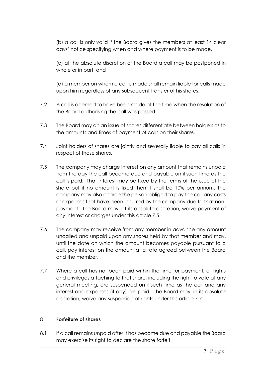(b) a call is only valid if the Board gives the members at least 14 clear days' notice specifying when and where payment is to be made,

(c) at the absolute discretion of the Board a call may be postponed in whole or in part, and

(d) a member on whom a call is made shall remain liable for calls made upon him regardless of any subsequent transfer of his shares.

- 7.2 A call is deemed to have been made at the time when the resolution of the Board authorising the call was passed.
- 7.3 The Board may on an issue of shares differentiate between holders as to the amounts and times of payment of calls on their shares.
- 7.4 Joint holders of shares are jointly and severally liable to pay all calls in respect of those shares.
- 7.5 The company may charge interest on any amount that remains unpaid from the day the call became due and payable until such time as the call is paid. That interest may be fixed by the terms of the issue of the share but if no amount is fixed then it shall be 10% per annum. The company may also charge the person obliged to pay the call any costs or expenses that have been incurred by the company due to that nonpayment. The Board may, at its absolute discretion, waive payment of any interest or charges under this article 7.5.
- 7.6 The company may receive from any member in advance any amount uncalled and unpaid upon any shares held by that member and may, until the date on which the amount becomes payable pursuant to a call, pay interest on the amount at a rate agreed between the Board and the member.
- 7.7 Where a call has not been paid within the time for payment, all rights and privileges attaching to that share, including the right to vote at any general meeting, are suspended until such time as the call and any interest and expenses (if any) are paid. The Board may, in its absolute discretion, waive any suspension of rights under this article 7.7.

# 8 **Forfeiture of shares**

8.1 If a call remains unpaid after it has become due and payable the Board may exercise its right to declare the share forfeit.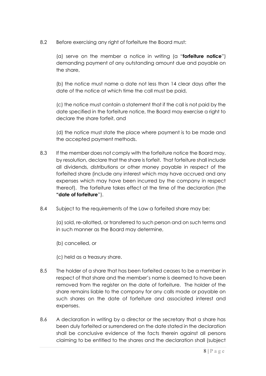8.2 Before exercising any right of forfeiture the Board must:

(a) serve on the member a notice in writing (a "**forfeiture notice**") demanding payment of any outstanding amount due and payable on the share,

(b) the notice must name a date not less than 14 clear days after the date of the notice at which time the call must be paid,

(c) the notice must contain a statement that if the call is not paid by the date specified in the forfeiture notice, the Board may exercise a right to declare the share forfeit, and

(d) the notice must state the place where payment is to be made and the accepted payment methods.

- 8.3 If the member does not comply with the forfeiture notice the Board may, by resolution, declare that the share is forfeit. That forfeiture shall include all dividends, distributions or other money payable in respect of the forfeited share (include any interest which may have accrued and any expenses which may have been incurred by the company in respect thereof). The forfeiture takes effect at the time of the declaration (the **"date of forfeiture**").
- 8.4 Subject to the requirements of the Law a forfeited share may be:

(a) sold, re-allotted, or transferred to such person and on such terms and in such manner as the Board may determine,

- (b) cancelled, or
- (c) held as a treasury share.
- 8.5 The holder of a share that has been forfeited ceases to be a member in respect of that share and the member's name is deemed to have been removed from the register on the date of forfeiture. The holder of the share remains liable to the company for any calls made or payable on such shares on the date of forfeiture and associated interest and expenses.
- 8.6 A declaration in writing by a director or the secretary that a share has been duly forfeited or surrendered on the date stated in the declaration shall be conclusive evidence of the facts therein against all persons claiming to be entitled to the shares and the declaration shall (subject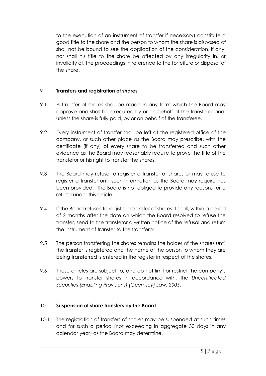to the execution of an instrument of transfer if necessary) constitute a good title to the share and the person to whom the share is disposed of shall not be bound to see the application of the consideration, if any, nor shall his title to the share be affected by any irregularity in, or invalidity of, the proceedings in reference to the forfeiture or disposal of the share.

# 9 **Transfers and registration of shares**

- 9.1 A transfer of shares shall be made in any form which the Board may approve and shall be executed by or on behalf of the transferor and, unless the share is fully paid, by or on behalf of the transferee.
- 9.2 Every instrument of transfer shall be left at the registered office of the company, or such other place as the Board may prescribe, with the certificate (if any) of every share to be transferred and such other evidence as the Board may reasonably require to prove the title of the transferor or his right to transfer the shares.
- 9.3 The Board may refuse to register a transfer of shares or may refuse to register a transfer until such information as the Board may require has been provided. The Board is not obliged to provide any reasons for a refusal under this article.
- 9.4 If the Board refuses to register a transfer of shares it shall, within a period of 2 months after the date on which the Board resolved to refuse the transfer, send to the transferor a written notice of the refusal and return the instrument of transfer to the transferor.
- 9.5 The person transferring the shares remains the holder of the shares until the transfer is registered and the name of the person to whom they are being transferred is entered in the register in respect of the shares.
- 9.6 These articles are subject to, and do not limit or restrict the company's powers to transfer shares in accordance with, the *Uncertificated Securities (Enabling Provisions) (Guernsey) Law, 2005*.

# 10 **Suspension of share transfers by the Board**

10.1 The registration of transfers of shares may be suspended at such times and for such a period (not exceeding in aggregate 30 days in any calendar year) as the Board may determine.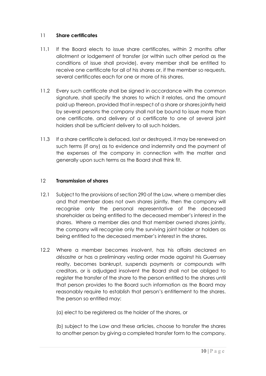# 11 **Share certificates**

- 11.1 If the Board elects to issue share certificates, within 2 months after allotment or lodgement of transfer (or within such other period as the conditions of issue shall provide), every member shall be entitled to receive one certificate for all of his shares or, if the member so requests, several certificates each for one or more of his shares.
- 11.2 Every such certificate shall be signed in accordance with the common signature, shall specify the shares to which it relates, and the amount paid up thereon, provided that in respect of a share or shares jointly held by several persons the company shall not be bound to issue more than one certificate, and delivery of a certificate to one of several joint holders shall be sufficient delivery to all such holders.
- 11.3 If a share certificate is defaced, lost or destroyed, it may be renewed on such terms (if any) as to evidence and indemnity and the payment of the expenses of the company in connection with the matter and generally upon such terms as the Board shall think fit.

### 12 **Transmission of shares**

- 12.1 Subject to the provisions of section 290 of the Law, where a member dies and that member does not own shares jointly, then the company will recognise only the personal representative of the deceased shareholder as being entitled to the deceased member's interest in the shares. Where a member dies and that member owned shares jointly, the company will recognise only the surviving joint holder or holders as being entitled to the deceased member's interest in the shares.
- 12.2 Where a member becomes insolvent, has his affairs declared *en désastre* or has a preliminary vesting order made against his Guernsey realty, becomes bankrupt, suspends payments or compounds with creditors, or is adjudged insolvent the Board shall not be obliged to register the transfer of the share to the person entitled to the shares until that person provides to the Board such information as the Board may reasonably require to establish that person's entitlement to the shares. The person so entitled may:
	- (a) elect to be registered as the holder of the shares, or

(b) subject to the Law and these articles, choose to transfer the shares to another person by giving a completed transfer form to the company.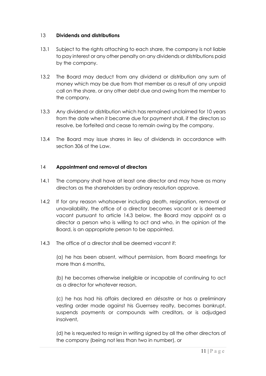### 13 **Dividends and distributions**

- 13.1 Subject to the rights attaching to each share, the company is not liable to pay interest or any other penalty on any dividends or distributions paid by the company.
- 13.2 The Board may deduct from any dividend or distribution any sum of money which may be due from that member as a result of any unpaid call on the share, or any other debt due and owing from the member to the company.
- 13.3 Any dividend or distribution which has remained unclaimed for 10 years from the date when it became due for payment shall, if the directors so resolve, be forfeited and cease to remain owing by the company.
- 13.4 The Board may issue shares in lieu of dividends in accordance with section 306 of the Law.

### 14 **Appointment and removal of directors**

- 14.1 The company shall have at least one director and may have as many directors as the shareholders by ordinary resolution approve.
- 14.2 If for any reason whatsoever including death, resignation, removal or unavailability, the office of a director becomes vacant or is deemed vacant pursuant to article 14.3 below, the Board may appoint as a director a person who is willing to act and who, in the opinion of the Board, is an appropriate person to be appointed.
- 14.3 The office of a director shall be deemed vacant if:

(a) he has been absent, without permission, from Board meetings for more than 6 months,

(b) he becomes otherwise ineligible or incapable of continuing to act as a director for whatever reason,

(c) he has had his affairs declared *en désastre* or has a preliminary vesting order made against his Guernsey realty, becomes bankrupt, suspends payments or compounds with creditors, or is adjudged insolvent,

(d) he is requested to resign in writing signed by all the other directors of the company (being not less than two in number), or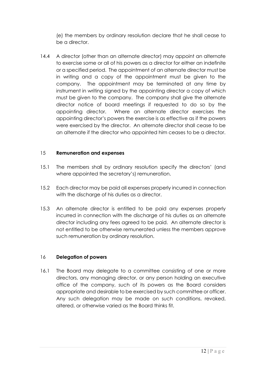(e) the members by ordinary resolution declare that he shall cease to be a director.

14.4 A director (other than an alternate director) may appoint an alternate to exercise some or all of his powers as a director for either an indefinite or a specified period. The appointment of an alternate director must be in writing and a copy of the appointment must be given to the company. The appointment may be terminated at any time by instrument in writing signed by the appointing director a copy of which must be given to the company. The company shall give the alternate director notice of board meetings if requested to do so by the appointing director. Where an alternate director exercises the appointing director's powers the exercise is as effective as if the powers were exercised by the director. An alternate director shall cease to be an alternate if the director who appointed him ceases to be a director.

# 15 **Remuneration and expenses**

- 15.1 The members shall by ordinary resolution specify the directors' (and where appointed the secretary's) remuneration.
- 15.2 Each director may be paid all expenses properly incurred in connection with the discharge of his duties as a director.
- 15.3 An alternate director is entitled to be paid any expenses properly incurred in connection with the discharge of his duties as an alternate director including any fees agreed to be paid. An alternate director is not entitled to be otherwise remunerated unless the members approve such remuneration by ordinary resolution.

# 16 **Delegation of powers**

16.1 The Board may delegate to a committee consisting of one or more directors, any managing director, or any person holding an executive office of the company, such of its powers as the Board considers appropriate and desirable to be exercised by such committee or officer. Any such delegation may be made on such conditions, revoked, altered, or otherwise varied as the Board thinks fit.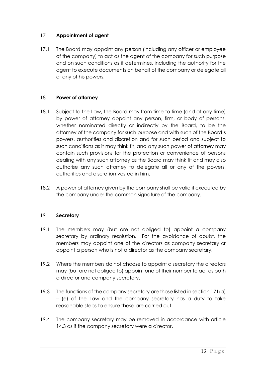# 17 **Appointment of agent**

17.1 The Board may appoint any person (including any officer or employee of the company) to act as the agent of the company for such purpose and on such conditions as it determines, including the authority for the agent to execute documents on behalf of the company or delegate all or any of his powers.

# 18 **Power of attorney**

- 18.1 Subject to the Law, the Board may from time to time (and at any time) by power of attorney appoint any person, firm, or body of persons, whether nominated directly or indirectly by the Board, to be the attorney of the company for such purpose and with such of the Board's powers, authorities and discretion and for such period and subject to such conditions as it may think fit, and any such power of attorney may contain such provisions for the protection or convenience of persons dealing with any such attorney as the Board may think fit and may also authorise any such attorney to delegate all or any of the powers, authorities and discretion vested in him.
- 18.2 A power of attorney given by the company shall be valid if executed by the company under the common signature of the company.

#### 19 **Secretary**

- 19.1 The members may (but are not obliged to) appoint a company secretary by ordinary resolution. For the avoidance of doubt, the members may appoint one of the directors as company secretary or appoint a person who is not a director as the company secretary.
- 19.2 Where the members do not choose to appoint a secretary the directors may (but are not obliged to) appoint one of their number to act as both a director and company secretary.
- 19.3 The functions of the company secretary are those listed in section 171(a) – (e) of the Law and the company secretary has a duty to take reasonable steps to ensure these are carried out.
- 19.4 The company secretary may be removed in accordance with article 14.3 as if the company secretary were a director.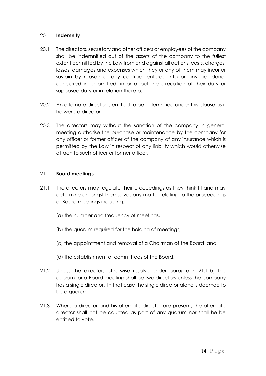# 20 **Indemnity**

- 20.1 The directors, secretary and other officers or employees of the company shall be indemnified out of the assets of the company to the fullest extent permitted by the Law from and against all actions, costs, charges, losses, damages and expenses which they or any of them may incur or sustain by reason of any contract entered into or any act done, concurred in or omitted, in or about the execution of their duty or supposed duty or in relation thereto.
- 20.2 An alternate director is entitled to be indemnified under this clause as if he were a director.
- 20.3 The directors may without the sanction of the company in general meeting authorise the purchase or maintenance by the company for any officer or former officer of the company of any insurance which is permitted by the Law in respect of any liability which would otherwise attach to such officer or former officer.

# 21 **Board meetings**

- 21.1 The directors may regulate their proceedings as they think fit and may determine amongst themselves any matter relating to the proceedings of Board meetings including:
	- (a) the number and frequency of meetings,
	- (b) the quorum required for the holding of meetings,
	- (c) the appointment and removal of a Chairman of the Board, and
	- (d) the establishment of committees of the Board.
- 21.2 Unless the directors otherwise resolve under paragraph 21.1(b) the quorum for a Board meeting shall be two directors unless the company has a single director. In that case the single director alone is deemed to be a quorum.
- 21.3 Where a director and his alternate director are present, the alternate director shall not be counted as part of any quorum nor shall he be entitled to vote.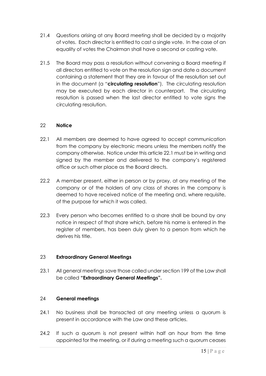- 21.4 Questions arising at any Board meeting shall be decided by a majority of votes. Each director is entitled to cast a single vote. In the case of an equality of votes the Chairman shall have a second or casting vote.
- 21.5 The Board may pass a resolution without convening a Board meeting if all directors entitled to vote on the resolution sign and date a document containing a statement that they are in favour of the resolution set out in the document (a "**circulating resolution**"). The circulating resolution may be executed by each director in counterpart. The circulating resolution is passed when the last director entitled to vote signs the circulating resolution.

# 22 **Notice**

- 22.1 All members are deemed to have agreed to accept communication from the company by electronic means unless the members notify the company otherwise. Notice under this article 22.1 must be in writing and signed by the member and delivered to the company's registered office or such other place as the Board directs.
- 22.2 A member present, either in person or by proxy, at any meeting of the company or of the holders of any class of shares in the company is deemed to have received notice of the meeting and, where requisite, of the purpose for which it was called.
- 22.3 Every person who becomes entitled to a share shall be bound by any notice in respect of that share which, before his name is entered in the register of members, has been duly given to a person from which he derives his title.

# 23 **Extraordinary General Meetings**

23.1 All general meetings save those called under section 199 of the Law shall be called **"Extraordinary General Meetings".**

# 24 **General meetings**

- 24.1 No business shall be transacted at any meeting unless a quorum is present in accordance with the Law and these articles.
- 24.2 If such a quorum is not present within half an hour from the time appointed for the meeting, or if during a meeting such a quorum ceases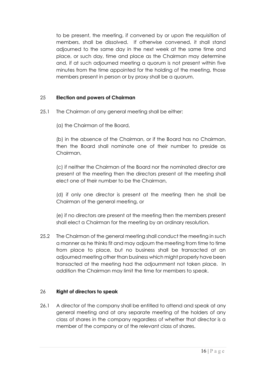to be present, the meeting, if convened by or upon the requisition of members, shall be dissolved. If otherwise convened, it shall stand adjourned to the same day in the next week at the same time and place, or such day, time and place as the Chairman may determine and, if at such adjourned meeting a quorum is not present within five minutes from the time appointed for the holding of the meeting, those members present in person or by proxy shall be a quorum.

# 25 **Election and powers of Chairman**

- 25.1 The Chairman of any general meeting shall be either:
	- (a) the Chairman of the Board,

(b) in the absence of the Chairman, or if the Board has no Chairman, then the Board shall nominate one of their number to preside as Chairman,

(c) if neither the Chairman of the Board nor the nominated director are present at the meeting then the directors present at the meeting shall elect one of their number to be the Chairman,

(d) if only one director is present at the meeting then he shall be Chairman of the general meeting, or

(e) if no directors are present at the meeting then the members present shall elect a Chairman for the meeting by an ordinary resolution.

25.2 The Chairman of the general meeting shall conduct the meeting in such a manner as he thinks fit and may adjourn the meeting from time to time from place to place, but no business shall be transacted at an adjourned meeting other than business which might properly have been transacted at the meeting had the adjournment not taken place. In addition the Chairman may limit the time for members to speak.

# 26 **Right of directors to speak**

26.1 A director of the company shall be entitled to attend and speak at any general meeting and at any separate meeting of the holders of any class of shares in the company regardless of whether that director is a member of the company or of the relevant class of shares.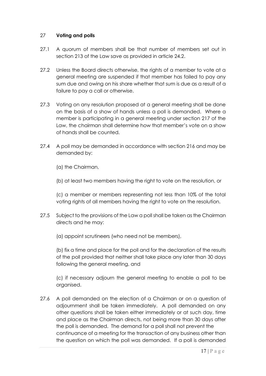# 27 **Voting and polls**

- 27.1 A quorum of members shall be that number of members set out in section 213 of the Law save as provided in article 24.2.
- 27.2 Unless the Board directs otherwise, the rights of a member to vote at a general meeting are suspended if that member has failed to pay any sum due and owing on his share whether that sum is due as a result of a failure to pay a call or otherwise.
- 27.3 Voting on any resolution proposed at a general meeting shall be done on the basis of a show of hands unless a poll is demanded. Where a member is participating in a general meeting under section 217 of the Law, the chairman shall determine how that member's vote on a show of hands shall be counted.
- 27.4 A poll may be demanded in accordance with section 216 and may be demanded by:
	- (a) the Chairman,
	- (b) at least two members having the right to vote on the resolution, or

(c) a member or members representing not less than 10% of the total voting rights of all members having the right to vote on the resolution.

27.5 Subject to the provisions of the Law a poll shall be taken as the Chairman directs and he may:

(a) appoint scrutineers (who need not be members),

(b) fix a time and place for the poll and for the declaration of the results of the poll provided that neither shall take place any later than 30 days following the general meeting, and

(c) if necessary adjourn the general meeting to enable a poll to be organised.

27.6 A poll demanded on the election of a Chairman or on a question of adjournment shall be taken immediately. A poll demanded on any other questions shall be taken either immediately or at such day, time and place as the Chairman directs, not being more than 30 days after the poll is demanded. The demand for a poll shall not prevent the continuance of a meeting for the transaction of any business other than the question on which the poll was demanded. If a poll is demanded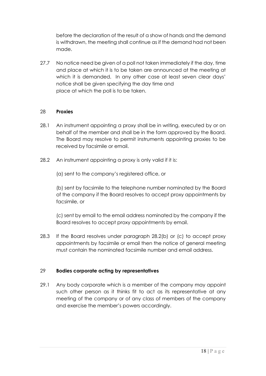before the declaration of the result of a show of hands and the demand is withdrawn, the meeting shall continue as if the demand had not been made.

27.7 No notice need be given of a poll not taken immediately if the day, time and place at which it is to be taken are announced at the meeting at which it is demanded. In any other case at least seven clear days' notice shall be given specifying the day time and place at which the poll is to be taken.

### 28 **Proxies**

- 28.1 An instrument appointing a proxy shall be in writing, executed by or on behalf of the member and shall be in the form approved by the Board. The Board may resolve to permit instruments appointing proxies to be received by facsimile or email.
- 28.2 An instrument appointing a proxy is only valid if it is:
	- (a) sent to the company's registered office, or

(b) sent by facsimile to the telephone number nominated by the Board of the company if the Board resolves to accept proxy appointments by facsimile, or

(c) sent by email to the email address nominated by the company if the Board resolves to accept proxy appointments by email.

28.3 If the Board resolves under paragraph 28.2(b) or (c) to accept proxy appointments by facsimile or email then the notice of general meeting must contain the nominated facsimile number and email address.

# 29 **Bodies corporate acting by representatives**

29.1 Any body corporate which is a member of the company may appoint such other person as it thinks fit to act as its representative at any meeting of the company or of any class of members of the company and exercise the member's powers accordingly.